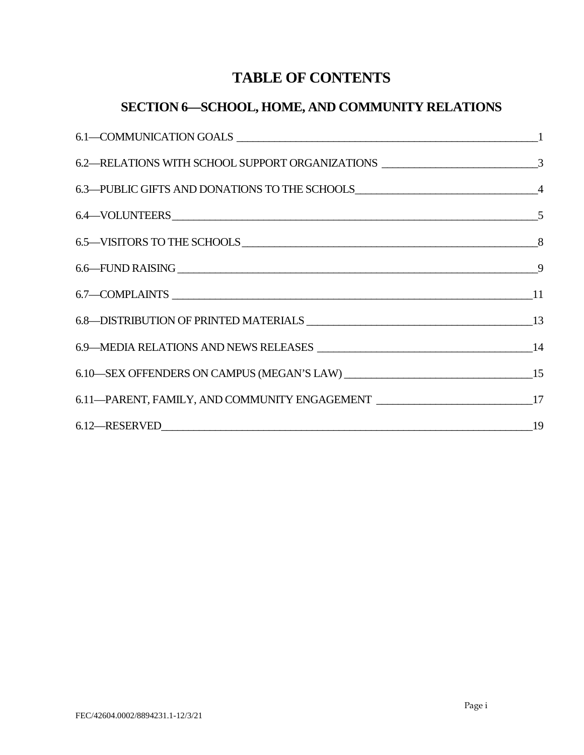# **TABLE OF CONTENTS**

# **SECTION 6—SCHOOL, HOME, AND COMMUNITY RELATIONS**

| 6.2—RELATIONS WITH SCHOOL SUPPORT ORGANIZATIONS ________________________________3 |  |
|-----------------------------------------------------------------------------------|--|
|                                                                                   |  |
|                                                                                   |  |
|                                                                                   |  |
|                                                                                   |  |
|                                                                                   |  |
|                                                                                   |  |
|                                                                                   |  |
|                                                                                   |  |
| 6.11—PARENT, FAMILY, AND COMMUNITY ENGAGEMENT _________________________________17 |  |
|                                                                                   |  |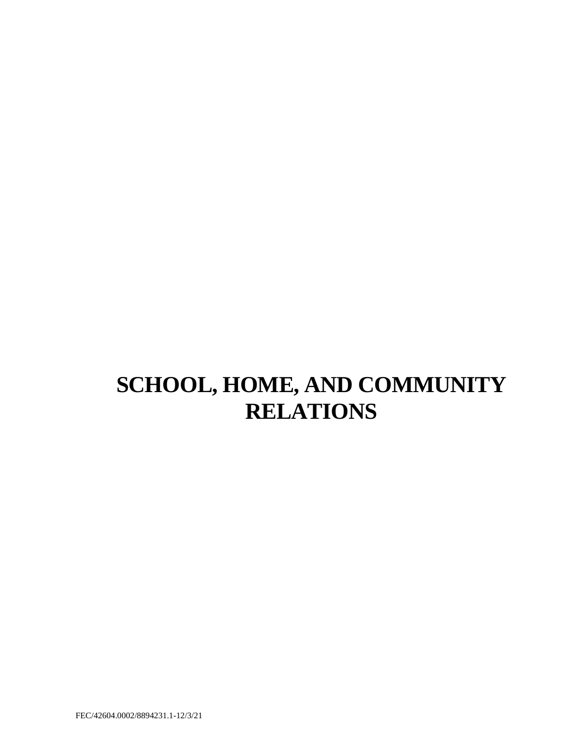# **SCHOOL, HOME, AND COMMUNITY RELATIONS**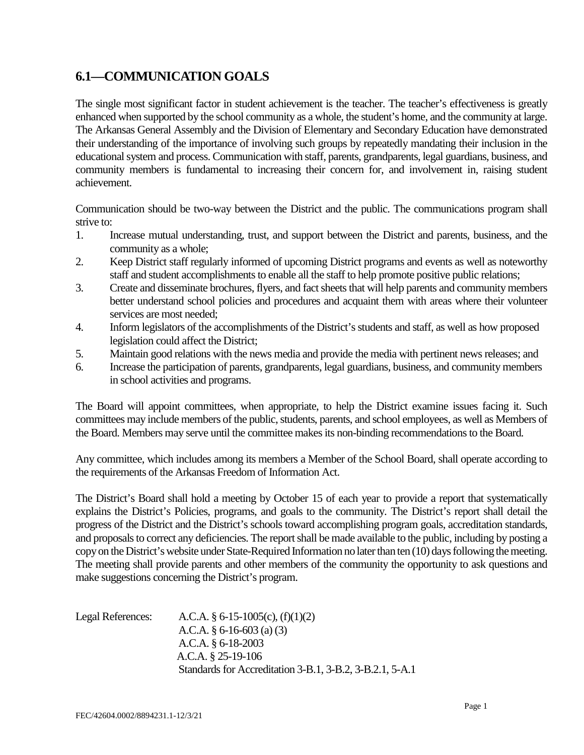### <span id="page-2-0"></span>**6.1—COMMUNICATION GOALS**

 community members is fundamental to increasing their concern for, and involvement in, raising student The single most significant factor in student achievement is the teacher. The teacher's effectiveness is greatly enhanced when supported by the school community as a whole, the student's home, and the community at large. The Arkansas General Assembly and the Division of Elementary and Secondary Education have demonstrated their understanding of the importance of involving such groups by repeatedly mandating their inclusion in the educational system and process. Communication with staff, parents, grandparents, legal guardians, business, and achievement.

Communication should be two-way between the District and the public. The communications program shall strive to:

- 1. Increase mutual understanding, trust, and support between the District and parents, business, and the community as a whole;
- 2. Keep District staff regularly informed of upcoming District programs and events as well as noteworthy staff and student accomplishments to enable all the staff to help promote positive public relations;
- 3. Create and disseminate brochures, flyers, and fact sheets that will help parents and community members better understand school policies and procedures and acquaint them with areas where their volunteer services are most needed;
- 4. Inform legislators of the accomplishments of the District's students and staff, as well as how proposed legislation could affect the District;
- 5. Maintain good relations with the news media and provide the media with pertinent news releases; and
- 6. Increase the participation of parents, grandparents, legal guardians, business, and community members in school activities and programs.

 committees may include members of the public, students, parents, and school employees, as well as Members of The Board will appoint committees, when appropriate, to help the District examine issues facing it. Such the Board. Members may serve until the committee makes its non-binding recommendations to the Board.

 Any committee, which includes among its members a Member of the School Board, shall operate according to the requirements of the Arkansas Freedom of Information Act.

 The District's Board shall hold a meeting by October 15 of each year to provide a report that systematically explains the District's Policies, programs, and goals to the community. The District's report shall detail the progress of the District and the District's schools toward accomplishing program goals, accreditation standards, copy on the District's website under State-Required Information no later than ten (10) days following the meeting. The meeting shall provide parents and other members of the community the opportunity to ask questions and and proposals to correct any deficiencies. The report shall be made available to the public, including by posting a make suggestions concerning the District's program.

| Legal References: | A.C.A. § 6-15-1005(c), $(f)(1)(2)$                       |
|-------------------|----------------------------------------------------------|
|                   | A.C.A. $\S 6$ -16-603 (a) (3)                            |
|                   | A.C.A. $§$ 6-18-2003                                     |
|                   | A.C.A. $§$ 25-19-106                                     |
|                   | Standards for Accreditation 3-B.1, 3-B.2, 3-B.2.1, 5-A.1 |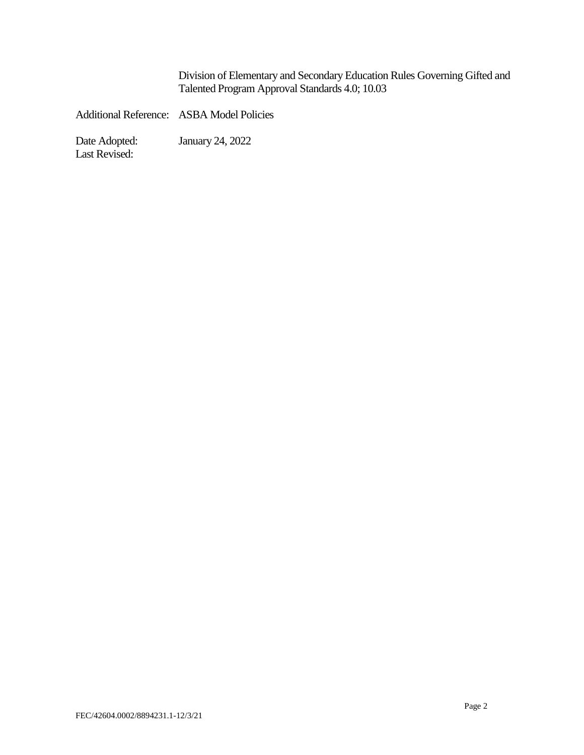$\overline{a}$ Division of Elementary and Secondary Education Rules Governing Gifted and Talented Program Approval Standards 4.0; 10.03

Additional Reference: ASBA Model Policies

January 24, 2022 Last Revised: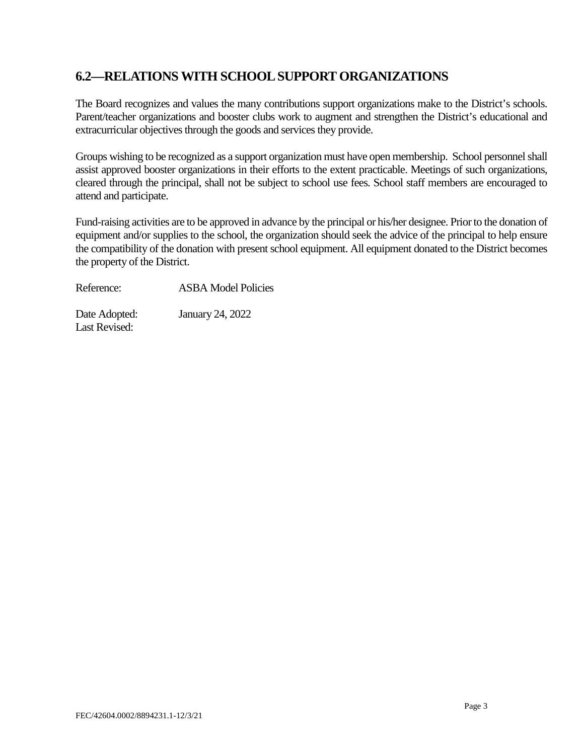### <span id="page-4-0"></span> **6.2—RELATIONS WITH SCHOOL SUPPORT ORGANIZATIONS**

 The Board recognizes and values the many contributions support organizations make to the District's schools. Parent/teacher organizations and booster clubs work to augment and strengthen the District's educational and extracurricular objectives through the goods and services they provide.

 Groups wishing to be recognized as a support organization must have open membership. School personnel shall assist approved booster organizations in their efforts to the extent practicable. Meetings of such organizations, cleared through the principal, shall not be subject to school use fees. School staff members are encouraged to attend and participate.

 equipment and/or supplies to the school, the organization should seek the advice of the principal to help ensure Fund-raising activities are to be approved in advance by the principal or his/her designee. Prior to the donation of the compatibility of the donation with present school equipment. All equipment donated to the District becomes the property of the District.

Reference: **ASBA Model Policies** 

Date Adopted: January 24, 2022 Last Revised: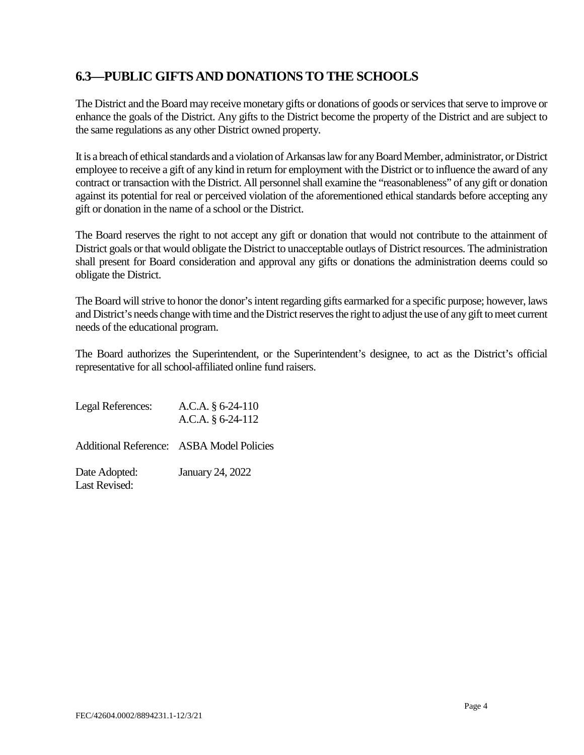### <span id="page-5-0"></span>**6.3—PUBLIC GIFTS AND DONATIONS TO THE SCHOOLS**

 The District and the Board may receive monetary gifts or donations of goods or services that serve to improve or enhance the goals of the District. Any gifts to the District become the property of the District and are subject to the same regulations as any other District owned property.

 It is a breach of ethical standards and a violation of Arkansas law for anyBoard Member, administrator, or District contract or transaction with the District. All personnel shall examine the "reasonableness" of any gift or donation against its potential for real or perceived violation of the aforementioned ethical standards before accepting any gift or donation in the name of a school or the District. employee to receive a gift of any kind in return for employment with the District or to influence the award of any

 The Board reserves the right to not accept any gift or donation that would not contribute to the attainment of District goals or that would obligate the District to unacceptable outlays of District resources. The administration shall present for Board consideration and approval any gifts or donations the administration deems could so obligate the District.

 The Board will strive to honor the donor's intent regarding gifts earmarked for a specific purpose; however, laws and District's needs change with time and the District reserves the right to adjust the use of any gift to meet current needs of the educational program.

The Board authorizes the Superintendent, or the Superintendent's designee, to act as the District's official representative for all school-affiliated online fund raisers.

Date Adopted: Legal References: A.C.A. § 6-24-110 A.C.A. § 6-24-112 Additional Reference: ASBA Model Policies January 24, 2022 Last Revised: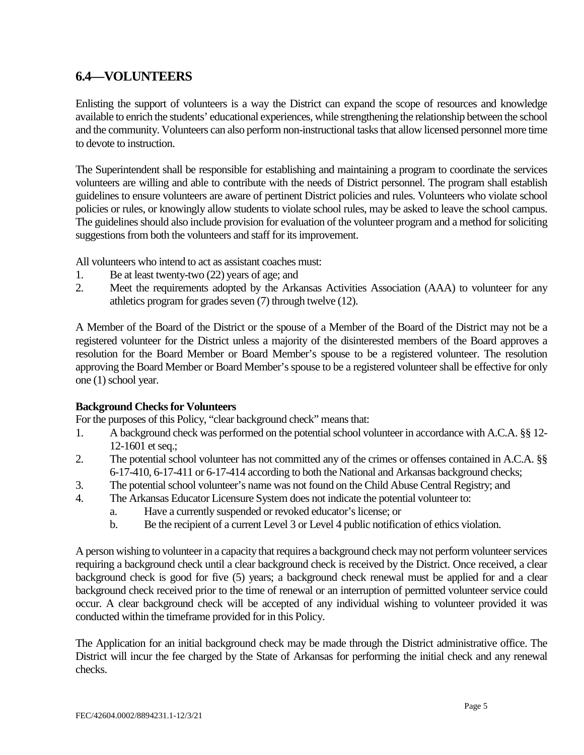### <span id="page-6-0"></span>**6.4—VOLUNTEERS**

 Enlisting the support of volunteers is a way the District can expand the scope of resources and knowledge available to enrich the students' educational experiences, while strengthening the relationship between the school to devote to instruction. and the community. Volunteers can also perform non-instructional tasks that allow licensed personnel more time

 The Superintendent shall be responsible for establishing and maintaining a program to coordinate the services guidelines to ensure volunteers are aware of pertinent District policies and rules. Volunteers who violate school The guidelines should also include provision for evaluation of the volunteer program and a method for soliciting volunteers are willing and able to contribute with the needs of District personnel. The program shall establish policies or rules, or knowingly allow students to violate school rules, may be asked to leave the school campus. suggestions from both the volunteers and staff for its improvement.

All volunteers who intend to act as assistant coaches must:

- 1. Be at least twenty-two (22) years of age; and
- 2. Meet the requirements adopted by the Arkansas Activities Association (AAA) to volunteer for any athletics program for grades seven (7) through twelve (12).

 registered volunteer for the District unless a majority of the disinterested members of the Board approves a approving the Board Member or Board Member's spouse to be a registered volunteer shall be effective for only A Member of the Board of the District or the spouse of a Member of the Board of the District may not be a resolution for the Board Member or Board Member's spouse to be a registered volunteer. The resolution one (1) school year.

#### **Background Checks for Volunteers**

For the purposes of this Policy, "clear background check" means that:

- 1. A background check was performed on the potential school volunteer in accordance with A.C.A. §§ 12- 12-1601 et seq.;
- 2. The potential school volunteer has not committed any of the crimes or offenses contained in A.C.A. §§ 6-17-410, 6-17-411 or 6-17-414 according to both the National and Arkansas background checks;
- 3. The potential school volunteer's name was not found on the Child Abuse Central Registry; and
- 4. The Arkansas Educator Licensure System does not indicate the potential volunteer to:
	- a. Have a currently suspended or revoked educator's license; or
	- b. Be the recipient of a current Level 3 or Level 4 public notification of ethics violation.

 background check is good for five (5) years; a background check renewal must be applied for and a clear background check received prior to the time of renewal or an interruption of permitted volunteer service could occur. A clear background check will be accepted of any individual wishing to volunteer provided it was A person wishing to volunteer in a capacity that requires a background check may not perform volunteer services requiring a background check until a clear background check is received by the District. Once received, a clear conducted within the timeframe provided for in this Policy.

 District will incur the fee charged by the State of Arkansas for performing the initial check and any renewal The Application for an initial background check may be made through the District administrative office. The checks.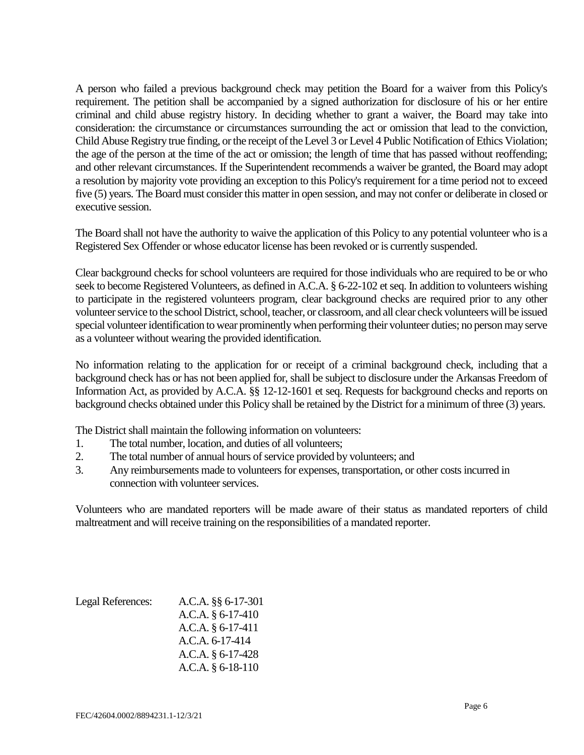A person who failed a previous background check may petition the Board for a waiver from this Policy's Child Abuse Registry true finding, or the receipt of the Level 3 or Level 4 Public Notification of Ethics Violation; and other relevant circumstances. If the Superintendent recommends a waiver be granted, the Board may adopt a resolution by majority vote providing an exception to this Policy's requirement for a time period not to exceed five (5) years. The Board must consider this matter in open session, and may not confer or deliberate in closed or requirement. The petition shall be accompanied by a signed authorization for disclosure of his or her entire criminal and child abuse registry history. In deciding whether to grant a waiver, the Board may take into consideration: the circumstance or circumstances surrounding the act or omission that lead to the conviction, the age of the person at the time of the act or omission; the length of time that has passed without reoffending; executive session.

 The Board shall not have the authority to waive the application of this Policy to any potential volunteer who is a Registered Sex Offender or whose educator license has been revoked or is currently suspended.

 Clear background checks for school volunteers are required for those individuals who are required to be or who to participate in the registered volunteers program, clear background checks are required prior to any other volunteer service to the school District, school, teacher, or classroom, and all clear check volunteers will be issued special volunteer identification to wear prominently when performing their volunteer duties; no person may serve seek to become Registered Volunteers, as defined in A.C.A. § 6-22-102 et seq. In addition to volunteers wishing as a volunteer without wearing the provided identification.

 No information relating to the application for or receipt of a criminal background check, including that a background check has or has not been applied for, shall be subject to disclosure under the Arkansas Freedom of Information Act, as provided by A.C.A. §§ 12-12-1601 et seq. Requests for background checks and reports on background checks obtained under this Policy shall be retained by the District for a minimum of three (3) years.

The District shall maintain the following information on volunteers:

- 1. The total number, location, and duties of all volunteers;
- 2. The total number of annual hours of service provided by volunteers; and
- 3. Any reimbursements made to volunteers for expenses, transportation, or other costs incurred in connection with volunteer services.

Volunteers who are mandated reporters will be made aware of their status as mandated reporters of child maltreatment and will receive training on the responsibilities of a mandated reporter.

| Legal References: | A.C.A. §§ 6-17-301  |
|-------------------|---------------------|
|                   | A.C.A. § 6-17-410   |
|                   | A.C.A. $§ 6-17-411$ |
|                   | A.C.A. 6-17-414     |
|                   | A.C.A. § 6-17-428   |
|                   | A.C.A. § 6-18-110   |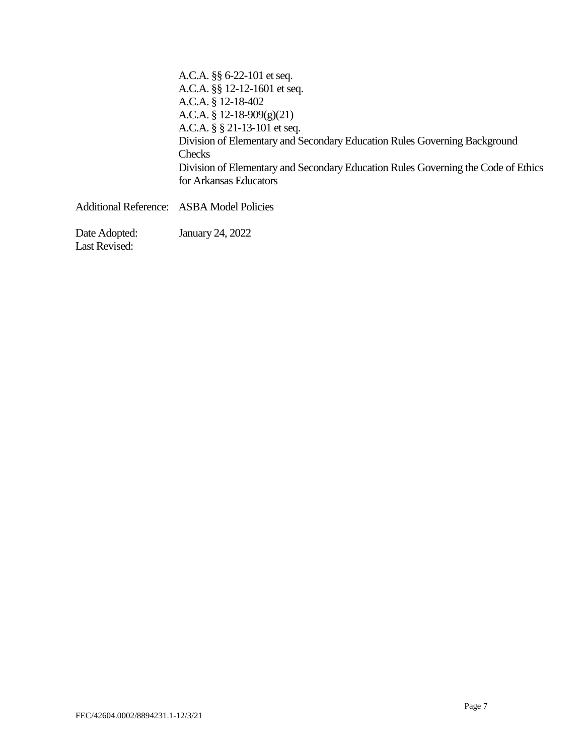| A.C.A. $\S$ 6-22-101 et seq.                                                      |
|-----------------------------------------------------------------------------------|
| A.C.A. §§ 12-12-1601 et seq.                                                      |
| A.C.A. § 12-18-402                                                                |
| A.C.A. § 12-18-909(g)(21)                                                         |
| A.C.A. $\S$ $\S$ 21-13-101 et seq.                                                |
| Division of Elementary and Secondary Education Rules Governing Background         |
| <b>Checks</b>                                                                     |
| Division of Elementary and Secondary Education Rules Governing the Code of Ethics |
| for Arkansas Educators                                                            |
| Additional Reference: ASBA Model Policies                                         |

Date Adopted: Last Revised: January 24, 2022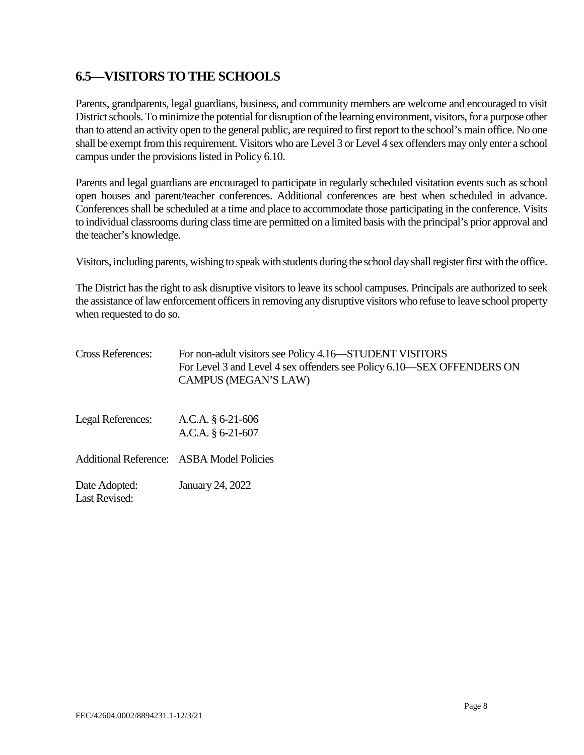### <span id="page-9-0"></span>**6.5—VISITORS TO THE SCHOOLS**

 District schools. To minimize the potential for disruption of the learning environment, visitors, for a purpose other campus under the provisions listed in Policy 6.10. Parents, grandparents, legal guardians, business, and community members are welcome and encouraged to visit than to attend an activity open to the general public, are required to first report to the school's main office. No one shall be exempt from this requirement. Visitors who are Level 3 or Level 4 sex offenders may only enter a school

 Parents and legal guardians are encouraged to participate in regularly scheduled visitation events such as school open houses and parent/teacher conferences. Additional conferences are best when scheduled in advance. Conferences shall be scheduled at a time and place to accommodate those participating in the conference. Visits to individual classrooms during class time are permitted on a limited basis with the principal's prior approval and the teacher's knowledge.

Visitors, including parents, wishing to speak with students during the school day shall register first with the office.

The District has the right to ask disruptive visitors to leave its school campuses. Principals are authorized to seek the assistance of law enforcement officers in removing any disruptive visitors who refuse to leave school property when requested to do so.

| <b>Cross References:</b>              | For non-adult visitors see Policy 4.16—STUDENT VISITORS<br>For Level 3 and Level 4 sex offenders see Policy 6.10—SEX OFFENDERS ON<br>CAMPUS (MEGAN'S LAW) |
|---------------------------------------|-----------------------------------------------------------------------------------------------------------------------------------------------------------|
| Legal References:                     | A.C.A. $§$ 6-21-606<br>A.C.A. $§$ 6-21-607                                                                                                                |
|                                       | <b>Additional Reference:</b> ASBA Model Policies                                                                                                          |
| Date Adopted:<br><b>Last Revised:</b> | January 24, 2022                                                                                                                                          |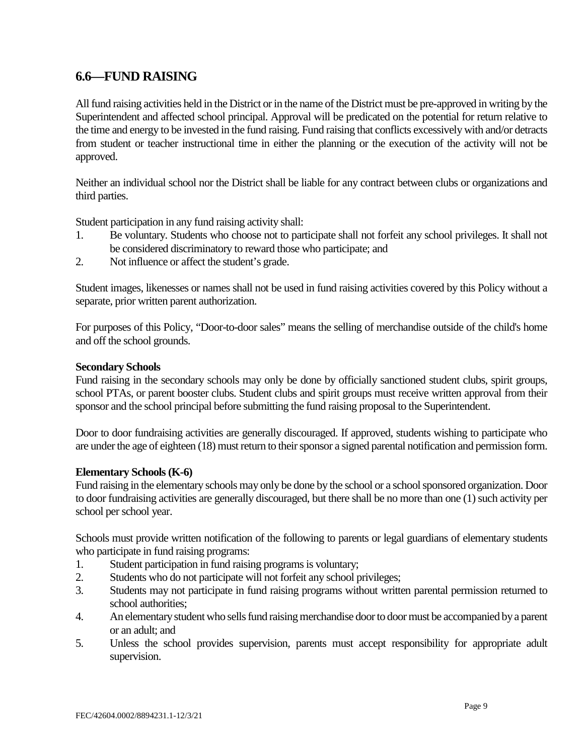### <span id="page-10-0"></span> **6.6—FUND RAISING**

 All fund raising activities held in the District or in the name of the District must be pre-approved in writing by the from student or teacher instructional time in either the planning or the execution of the activity will not be Superintendent and affected school principal. Approval will be predicated on the potential for return relative to the time and energy to be invested in the fund raising. Fund raising that conflicts excessively with and/or detracts approved.

 Neither an individual school nor the District shall be liable for any contract between clubs or organizations and third parties.

Student participation in any fund raising activity shall:

- 1. Be voluntary. Students who choose not to participate shall not forfeit any school privileges. It shall not be considered discriminatory to reward those who participate; and
- 2. Not influence or affect the student's grade.

 Student images, likenesses or names shall not be used in fund raising activities covered by this Policy without a separate, prior written parent authorization.

 For purposes of this Policy, "Door-to-door sales" means the selling of merchandise outside of the child's home and off the school grounds.

#### **Secondary Schools**

 school PTAs, or parent booster clubs. Student clubs and spirit groups must receive written approval from their Fund raising in the secondary schools may only be done by officially sanctioned student clubs, spirit groups, sponsor and the school principal before submitting the fund raising proposal to the Superintendent.

Door to door fundraising activities are generally discouraged. If approved, students wishing to participate who are under the age of eighteen (18) must return to their sponsor a signed parental notification and permission form.

#### **Elementary Schools (K-6)**

 school per school year. Fund raising in the elementary schools may only be done by the school or a school sponsored organization. Door to door fundraising activities are generally discouraged, but there shall be no more than one (1) such activity per

 Schools must provide written notification of the following to parents or legal guardians of elementary students who participate in fund raising programs:

- 1. Student participation in fund raising programs is voluntary;
- Students who do not participate will not forfeit any school privileges;
- 2. Students who do not participate will not forfeit any school privileges;<br>3. Students may not participate in fund raising programs without written parental permission returned to school authorities;
- 4. An elementary student who sells fund raising merchandise door to door must be accompanied by a parent or an adult; and
- 5. Unless the school provides supervision, parents must accept responsibility for appropriate adult supervision.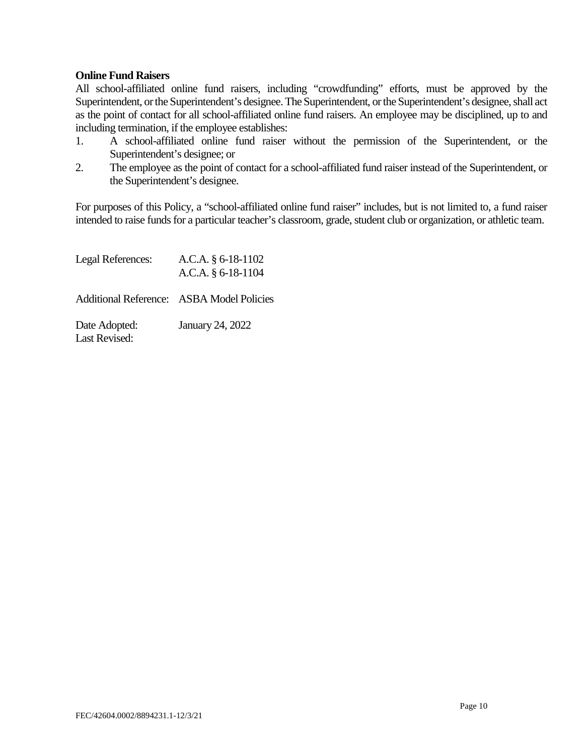#### **Online Fund Raisers**

 Superintendent, or the Superintendent's designee. The Superintendent, or the Superintendent's designee, shall act All school-affiliated online fund raisers, including "crowdfunding" efforts, must be approved by the as the point of contact for all school-affiliated online fund raisers. An employee may be disciplined, up to and including termination, if the employee establishes:

- 1. A school-affiliated online fund raiser without the permission of the Superintendent, or the Superintendent's designee; or
- 2. The employee as the point of contact for a school-affiliated fund raiser instead of the Superintendent, or the Superintendent's designee.

 For purposes of this Policy, a "school-affiliated online fund raiser" includes, but is not limited to, a fund raiser intended to raise funds for a particular teacher's classroom, grade, student club or organization, or athletic team.

| Legal References:                     | A.C.A. $§$ 6-18-1102<br>A.C.A. $§$ 6-18-1104     |
|---------------------------------------|--------------------------------------------------|
|                                       | <b>Additional Reference: ASBA Model Policies</b> |
| Date Adopted:<br><b>Last Revised:</b> | <b>January 24, 2022</b>                          |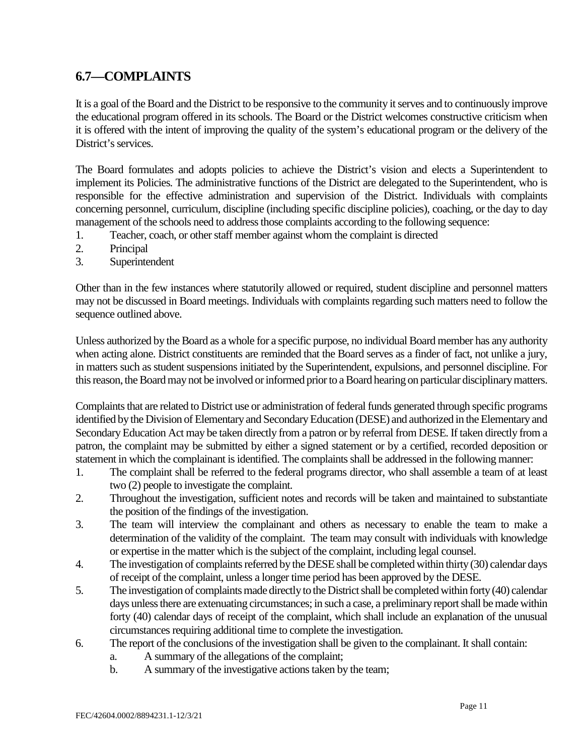### <span id="page-12-0"></span>**6.7—COMPLAINTS**

 the educational program offered in its schools. The Board or the District welcomes constructive criticism when It is a goal of the Board and the District to be responsive to the community it serves and to continuously improve it is offered with the intent of improving the quality of the system's educational program or the delivery of the District's services.

 The Board formulates and adopts policies to achieve the District's vision and elects a Superintendent to responsible for the effective administration and supervision of the District. Individuals with complaints implement its Policies. The administrative functions of the District are delegated to the Superintendent, who is concerning personnel, curriculum, discipline (including specific discipline policies), coaching, or the day to day management of the schools need to address those complaints according to the following sequence:

- 1. Teacher, coach, or other staff member against whom the complaint is directed
- 2. Principal
- 3. Superintendent

Other than in the few instances where statutorily allowed or required, student discipline and personnel matters may not be discussed in Board meetings. Individuals with complaints regarding such matters need to follow the sequence outlined above.

 when acting alone. District constituents are reminded that the Board serves as a finder of fact, not unlike a jury, this reason, the Board may not be involved or informed prior to a Board hearing on particular disciplinary matters. Unless authorized by the Board as a whole for a specific purpose, no individual Board member has any authority in matters such as student suspensions initiated by the Superintendent, expulsions, and personnel discipline. For

 Complaints that are related to District use or administration of federal funds generated through specific programs patron, the complaint may be submitted by either a signed statement or by a certified, recorded deposition or identified by the Division of Elementary and Secondary Education (DESE) and authorized in the Elementary and Secondary Education Act may be taken directly from a patron or by referral from DESE. If taken directly from a statement in which the complainant is identified. The complaints shall be addressed in the following manner:

- 1. The complaint shall be referred to the federal programs director, who shall assemble a team of at least two (2) people to investigate the complaint.
- 2. Throughout the investigation, sufficient notes and records will be taken and maintained to substantiate the position of the findings of the investigation.
- 3. The team will interview the complainant and others as necessary to enable the team to make a or expertise in the matter which is the subject of the complaint, including legal counsel. determination of the validity of the complaint. The team may consult with individuals with knowledge
- of receipt of the complaint, unless a longer time period has been approved by the DESE. 4. The investigation of complaints referred by the DESE shall be completed within thirty (30) calendar days
- 5. The investigation of complaints made directly to the District shall be completed within forty (40) calendar forty (40) calendar days of receipt of the complaint, which shall include an explanation of the unusual circumstances requiring additional time to complete the investigation. days unless there are extenuating circumstances; in such a case, a preliminary report shall be made within
- 6. The report of the conclusions of the investigation shall be given to the complainant. It shall contain:
	- a. A summary of the allegations of the complaint;
	- b. A summary of the investigative actions taken by the team;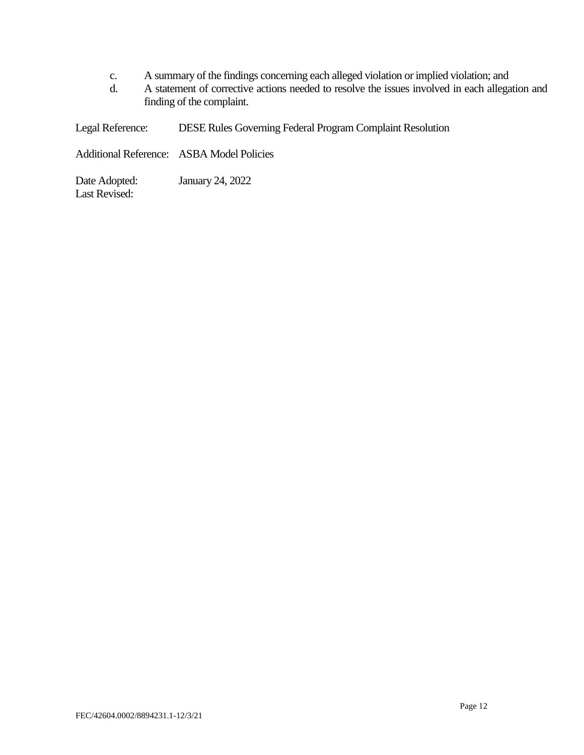- c. A summary of the findings concerning each alleged violation or implied violation; and
- d. A statement of corrective actions needed to resolve the issues involved in each allegation and finding of the complaint.

Legal Reference: DESE Rules Governing Federal Program Complaint Resolution

Additional Reference: ASBA Model Policies

Date Adopted: January 24, 2022 Last Revised: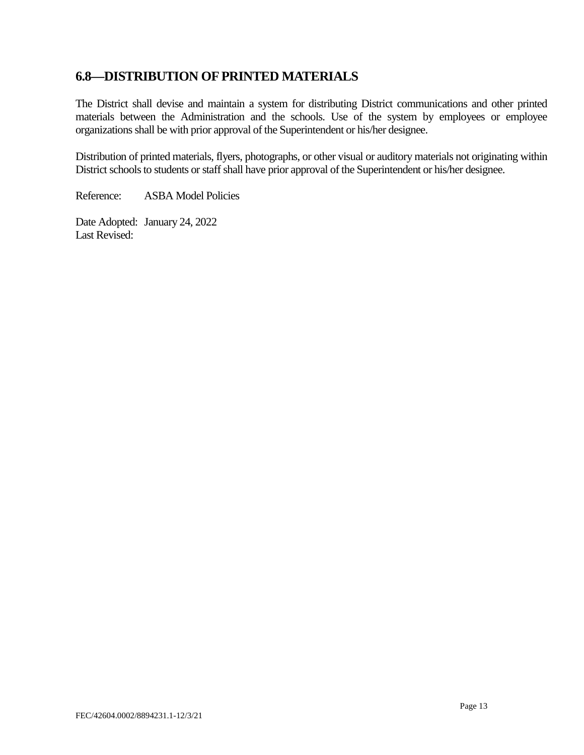### <span id="page-14-0"></span>**6.8—DISTRIBUTION OF PRINTED MATERIALS**

 The District shall devise and maintain a system for distributing District communications and other printed materials between the Administration and the schools. Use of the system by employees or employee organizations shall be with prior approval of the Superintendent or his/her designee.

 District schools to students or staff shall have prior approval of the Superintendent or his/her designee. Distribution of printed materials, flyers, photographs, or other visual or auditory materials not originating within

Reference: ASBA Model Policies

 Date Adopted: January 24, 2022 Last Revised: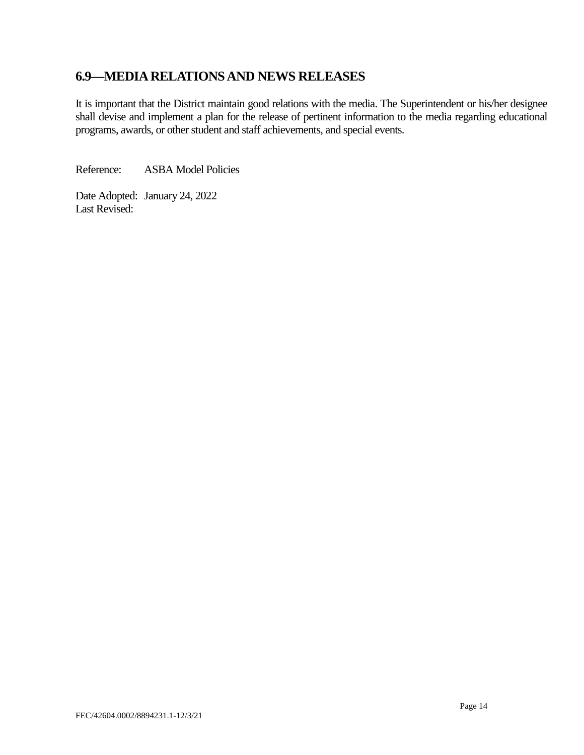### <span id="page-15-0"></span>**6.9—MEDIA RELATIONS AND NEWS RELEASES**

 It is important that the District maintain good relations with the media. The Superintendent or his/her designee shall devise and implement a plan for the release of pertinent information to the media regarding educational programs, awards, or other student and staff achievements, and special events.

Reference: ASBA Model Policies

 Date Adopted: January 24, 2022 Last Revised: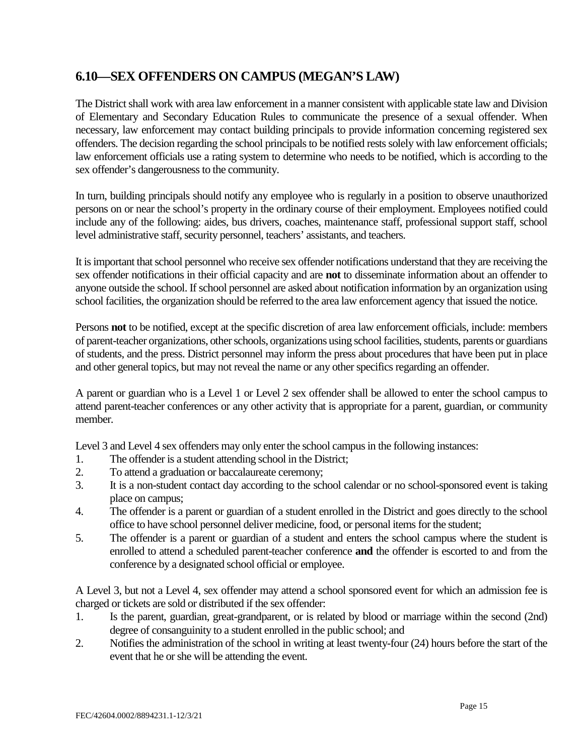### <span id="page-16-0"></span>**6.10—SEX OFFENDERS ON CAMPUS (MEGAN'S LAW)**

 of Elementary and Secondary Education Rules to communicate the presence of a sexual offender. When offenders. The decision regarding the school principals to be notified rests solely with law enforcement officials; sex offender's dangerousness to the community. The District shall work with area law enforcement in a manner consistent with applicable state law and Division necessary, law enforcement may contact building principals to provide information concerning registered sex law enforcement officials use a rating system to determine who needs to be notified, which is according to the

In turn, building principals should notify any employee who is regularly in a position to observe unauthorized persons on or near the school's property in the ordinary course of their employment. Employees notified could include any of the following: aides, bus drivers, coaches, maintenance staff, professional support staff, school level administrative staff, security personnel, teachers' assistants, and teachers.

 It is important that school personnel who receive sex offender notifications understand that they are receiving the sex offender notifications in their official capacity and are **not** to disseminate information about an offender to anyone outside the school. If school personnel are asked about notification information by an organization using school facilities, the organization should be referred to the area law enforcement agency that issued the notice.

 Persons **not** to be notified, except at the specific discretion of area law enforcement officials, include: members of parent-teacher organizations, other schools, organizations using school facilities, students, parents or guardians of students, and the press. District personnel may inform the press about procedures that have been put in place and other general topics, but may not reveal the name or any other specifics regarding an offender.

 attend parent-teacher conferences or any other activity that is appropriate for a parent, guardian, or community A parent or guardian who is a Level 1 or Level 2 sex offender shall be allowed to enter the school campus to member.

Level 3 and Level 4 sex offenders may only enter the school campus in the following instances:

- 1. The offender is a student attending school in the District;
- 2. To attend a graduation or baccalaureate ceremony;
- 3. It is a non-student contact day according to the school calendar or no school-sponsored event is taking place on campus;
- 4. The offender is a parent or guardian of a student enrolled in the District and goes directly to the school office to have school personnel deliver medicine, food, or personal items for the student;
- 5. The offender is a parent or guardian of a student and enters the school campus where the student is enrolled to attend a scheduled parent-teacher conference **and** the offender is escorted to and from the conference by a designated school official or employee.

A Level 3, but not a Level 4, sex offender may attend a school sponsored event for which an admission fee is charged or tickets are sold or distributed if the sex offender:

- 1. Is the parent, guardian, great-grandparent, or is related by blood or marriage within the second (2nd) degree of consanguinity to a student enrolled in the public school; and
- 2. Notifies the administration of the school in writing at least twenty-four (24) hours before the start of the event that he or she will be attending the event.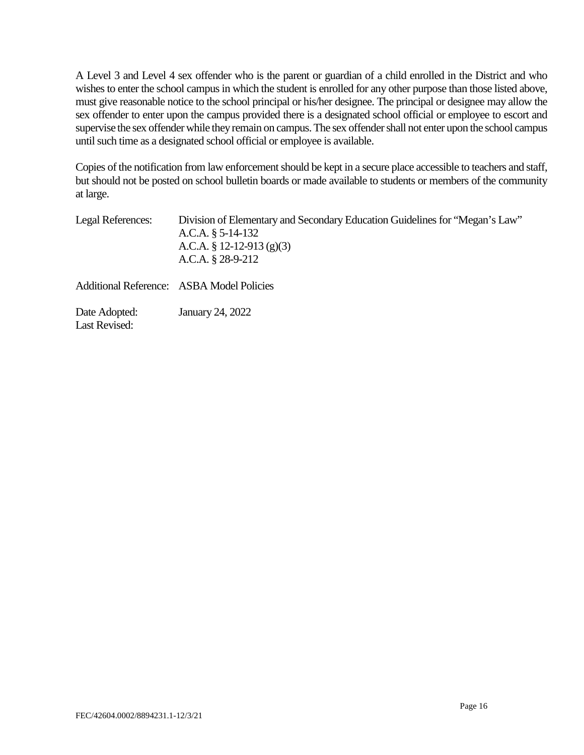wishes to enter the school campus in which the student is enrolled for any other purpose than those listed above, A Level 3 and Level 4 sex offender who is the parent or guardian of a child enrolled in the District and who must give reasonable notice to the school principal or his/her designee. The principal or designee may allow the sex offender to enter upon the campus provided there is a designated school official or employee to escort and supervise the sex offender while they remain on campus. The sex offender shall not enter upon the school campus until such time as a designated school official or employee is available.

 Copies of the notification from law enforcement should be kept in a secure place accessible to teachers and staff, but should not be posted on school bulletin boards or made available to students or members of the community at large.

| Legal References:                     | Division of Elementary and Secondary Education Guidelines for "Megan's Law"<br>A.C.A. $\S$ 5-14-132<br>A.C.A. § 12-12-913 (g)(3)<br>A.C.A. $§$ 28-9-212 |
|---------------------------------------|---------------------------------------------------------------------------------------------------------------------------------------------------------|
|                                       | <b>Additional Reference: ASBA Model Policies</b>                                                                                                        |
| Date Adopted:<br><b>Last Revised:</b> | January 24, 2022                                                                                                                                        |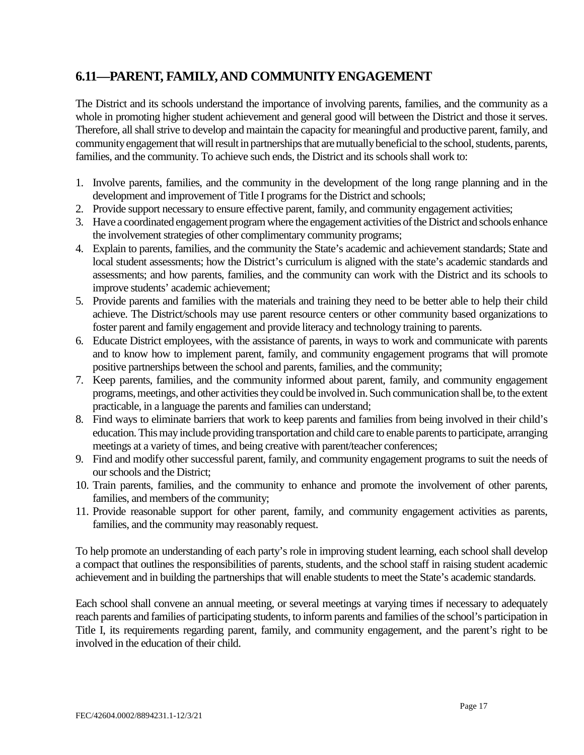### <span id="page-18-0"></span>**6.11—PARENT, FAMILY, AND COMMUNITY ENGAGEMENT**

 The District and its schools understand the importance of involving parents, families, and the community as a whole in promoting higher student achievement and general good will between the District and those it serves. Therefore, all shall strive to develop and maintain the capacity for meaningful and productive parent, family, and community engagement that will result in partnerships that are mutually beneficial to the school, students, parents, families, and the community. To achieve such ends, the District and its schools shall work to:

- 1. Involve parents, families, and the community in the development of the long range planning and in the development and improvement of Title I programs for the District and schools;
- 2. Provide support necessary to ensure effective parent, family, and community engagement activities;
- 3. Have a coordinated engagement program where the engagement activities of the District and schools enhance the involvement strategies of other complimentary community programs;
- local student assessments; how the District's curriculum is aligned with the state's academic standards and assessments; and how parents, families, and the community can work with the District and its schools to 4. Explain to parents, families, and the community the State's academic and achievement standards; State and improve students' academic achievement;
- achieve. The District/schools may use parent resource centers or other community based organizations to foster parent and family engagement and provide literacy and technology training to parents. 5. Provide parents and families with the materials and training they need to be better able to help their child
- 6. Educate District employees, with the assistance of parents, in ways to work and communicate with parents and to know how to implement parent, family, and community engagement programs that will promote positive partnerships between the school and parents, families, and the community;
- 7. Keep parents, families, and the community informed about parent, family, and community engagement programs, meetings, and other activities they could be involved in. Such communication shall be, to the extent practicable, in a language the parents and families can understand;
- 8. Find ways to eliminate barriers that work to keep parents and families from being involved in their child's education. This may include providing transportation and child care to enable parents to participate, arranging meetings at a variety of times, and being creative with parent/teacher conferences;
- 9. Find and modify other successful parent, family, and community engagement programs to suit the needs of our schools and the District;
- 10. Train parents, families, and the community to enhance and promote the involvement of other parents, families, and members of the community;
- 11. Provide reasonable support for other parent, family, and community engagement activities as parents, families, and the community may reasonably request.

 To help promote an understanding of each party's role in improving student learning, each school shall develop a compact that outlines the responsibilities of parents, students, and the school staff in raising student academic achievement and in building the partnerships that will enable students to meet the State's academic standards.

 Each school shall convene an annual meeting, or several meetings at varying times if necessary to adequately reach parents and families of participating students, to inform parents and families of the school's participation in Title I, its requirements regarding parent, family, and community engagement, and the parent's right to be involved in the education of their child.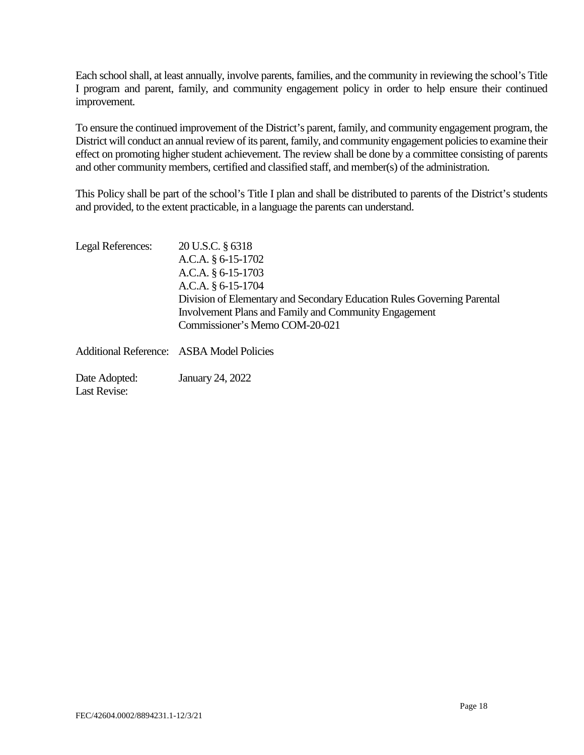Each school shall, at least annually, involve parents, families, and the community in reviewing the school's Title I program and parent, family, and community engagement policy in order to help ensure their continued improvement.

 To ensure the continued improvement of the District's parent, family, and community engagement program, the District will conduct an annual review of its parent, family, and community engagement policies to examine their effect on promoting higher student achievement. The review shall be done by a committee consisting of parents and other community members, certified and classified staff, and member(s) of the administration.

 This Policy shall be part of the school's Title I plan and shall be distributed to parents of the District's students  and provided, to the extent practicable, in a language the parents can understand.

| Legal References:             | 20 U.S.C. § 6318                                                        |
|-------------------------------|-------------------------------------------------------------------------|
|                               | A.C.A. $§$ 6-15-1702                                                    |
|                               | A.C.A. § 6-15-1703                                                      |
|                               | A.C.A. § 6-15-1704                                                      |
|                               | Division of Elementary and Secondary Education Rules Governing Parental |
|                               | <b>Involvement Plans and Family and Community Engagement</b>            |
|                               | Commissioner's Memo COM-20-021                                          |
|                               | <b>Additional Reference: ASBA Model Policies</b>                        |
| Date Adopted:<br>Last Revise: | January 24, 2022                                                        |